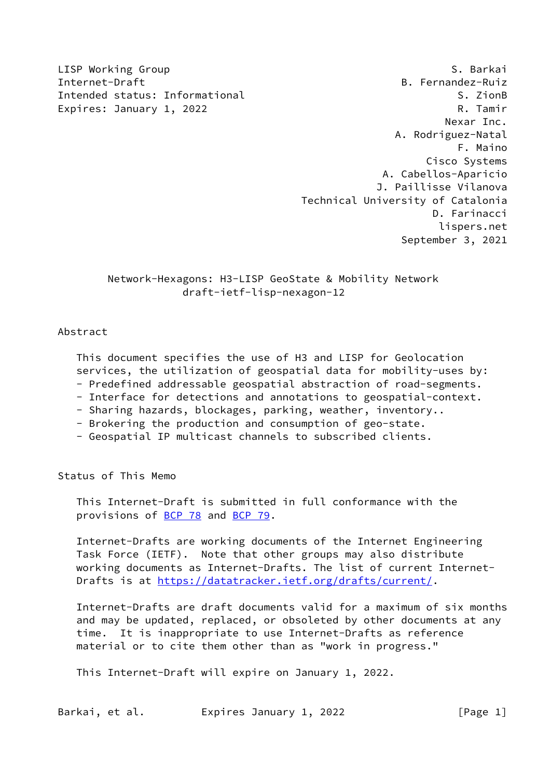LISP Working Group **S. Barkai** Internet-Draft B. Fernandez-Ruiz Intended status: Informational S. ZionB Expires: January 1, 2022 **R. Tamir**  Nexar Inc. A. Rodriguez-Natal F. Maino Cisco Systems A. Cabellos-Aparicio J. Paillisse Vilanova Technical University of Catalonia D. Farinacci lispers.net September 3, 2021

> Network-Hexagons: H3-LISP GeoState & Mobility Network draft-ietf-lisp-nexagon-12

### Abstract

 This document specifies the use of H3 and LISP for Geolocation services, the utilization of geospatial data for mobility-uses by: - Predefined addressable geospatial abstraction of road-segments.

- Interface for detections and annotations to geospatial-context.
- Sharing hazards, blockages, parking, weather, inventory..
- Brokering the production and consumption of geo-state.
- Geospatial IP multicast channels to subscribed clients.

Status of This Memo

 This Internet-Draft is submitted in full conformance with the provisions of [BCP 78](https://datatracker.ietf.org/doc/pdf/bcp78) and [BCP 79](https://datatracker.ietf.org/doc/pdf/bcp79).

 Internet-Drafts are working documents of the Internet Engineering Task Force (IETF). Note that other groups may also distribute working documents as Internet-Drafts. The list of current Internet Drafts is at<https://datatracker.ietf.org/drafts/current/>.

 Internet-Drafts are draft documents valid for a maximum of six months and may be updated, replaced, or obsoleted by other documents at any time. It is inappropriate to use Internet-Drafts as reference material or to cite them other than as "work in progress."

This Internet-Draft will expire on January 1, 2022.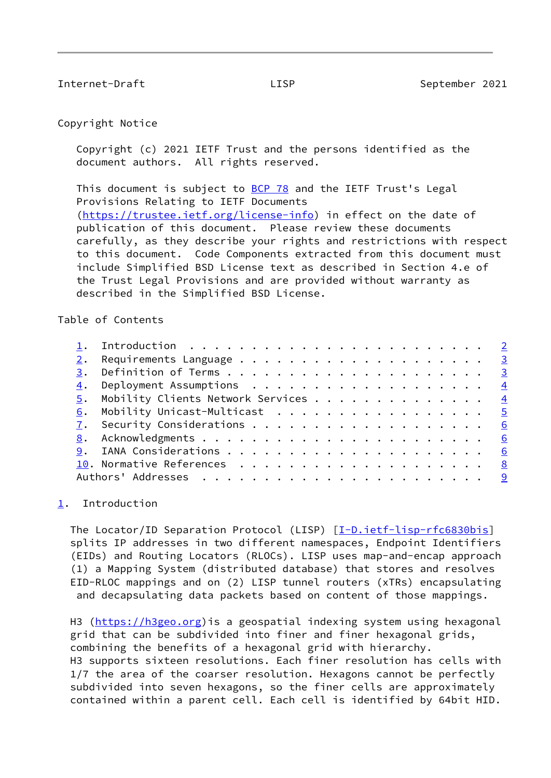### <span id="page-1-1"></span>Copyright Notice

 Copyright (c) 2021 IETF Trust and the persons identified as the document authors. All rights reserved.

This document is subject to [BCP 78](https://datatracker.ietf.org/doc/pdf/bcp78) and the IETF Trust's Legal Provisions Relating to IETF Documents [\(https://trustee.ietf.org/license-info](https://trustee.ietf.org/license-info)) in effect on the date of publication of this document. Please review these documents carefully, as they describe your rights and restrictions with respect to this document. Code Components extracted from this document must include Simplified BSD License text as described in Section 4.e of the Trust Legal Provisions and are provided without warranty as described in the Simplified BSD License.

Table of Contents

|  | 5. Mobility Clients Network Services 4 |  |
|--|----------------------------------------|--|
|  | 6. Mobility Unicast-Multicast 5        |  |
|  |                                        |  |
|  |                                        |  |
|  |                                        |  |
|  |                                        |  |
|  |                                        |  |
|  |                                        |  |

## <span id="page-1-0"></span>[1](#page-1-0). Introduction

The Locator/ID Separation Protocol (LISP) [\[I-D.ietf-lisp-rfc6830bis](#page-22-1)] splits IP addresses in two different namespaces, Endpoint Identifiers (EIDs) and Routing Locators (RLOCs). LISP uses map-and-encap approach (1) a Mapping System (distributed database) that stores and resolves EID-RLOC mappings and on (2) LISP tunnel routers (xTRs) encapsulating and decapsulating data packets based on content of those mappings.

H3 ([https://h3geo.org\)](https://h3geo.org)is a geospatial indexing system using hexagonal grid that can be subdivided into finer and finer hexagonal grids, combining the benefits of a hexagonal grid with hierarchy. H3 supports sixteen resolutions. Each finer resolution has cells with 1/7 the area of the coarser resolution. Hexagons cannot be perfectly subdivided into seven hexagons, so the finer cells are approximately contained within a parent cell. Each cell is identified by 64bit HID.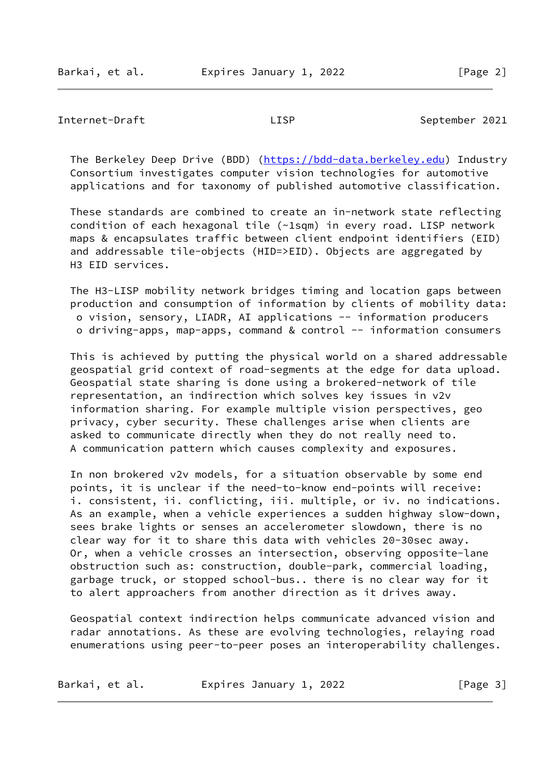<span id="page-2-0"></span> The Berkeley Deep Drive (BDD) [\(https://bdd-data.berkeley.edu\)](https://bdd-data.berkeley.edu) Industry Consortium investigates computer vision technologies for automotive applications and for taxonomy of published automotive classification.

 These standards are combined to create an in-network state reflecting condition of each hexagonal tile (~1sqm) in every road. LISP network maps & encapsulates traffic between client endpoint identifiers (EID) and addressable tile-objects (HID=>EID). Objects are aggregated by H3 EID services.

 The H3-LISP mobility network bridges timing and location gaps between production and consumption of information by clients of mobility data: o vision, sensory, LIADR, AI applications -- information producers o driving-apps, map-apps, command & control -- information consumers

 This is achieved by putting the physical world on a shared addressable geospatial grid context of road-segments at the edge for data upload. Geospatial state sharing is done using a brokered-network of tile representation, an indirection which solves key issues in v2v information sharing. For example multiple vision perspectives, geo privacy, cyber security. These challenges arise when clients are asked to communicate directly when they do not really need to. A communication pattern which causes complexity and exposures.

 In non brokered v2v models, for a situation observable by some end points, it is unclear if the need-to-know end-points will receive: i. consistent, ii. conflicting, iii. multiple, or iv. no indications. As an example, when a vehicle experiences a sudden highway slow-down, sees brake lights or senses an accelerometer slowdown, there is no clear way for it to share this data with vehicles 20-30sec away. Or, when a vehicle crosses an intersection, observing opposite-lane obstruction such as: construction, double-park, commercial loading, garbage truck, or stopped school-bus.. there is no clear way for it to alert approachers from another direction as it drives away.

 Geospatial context indirection helps communicate advanced vision and radar annotations. As these are evolving technologies, relaying road enumerations using peer-to-peer poses an interoperability challenges.

| Barkai, et al. | Expires January 1, 2022 | [Page 3] |
|----------------|-------------------------|----------|
|----------------|-------------------------|----------|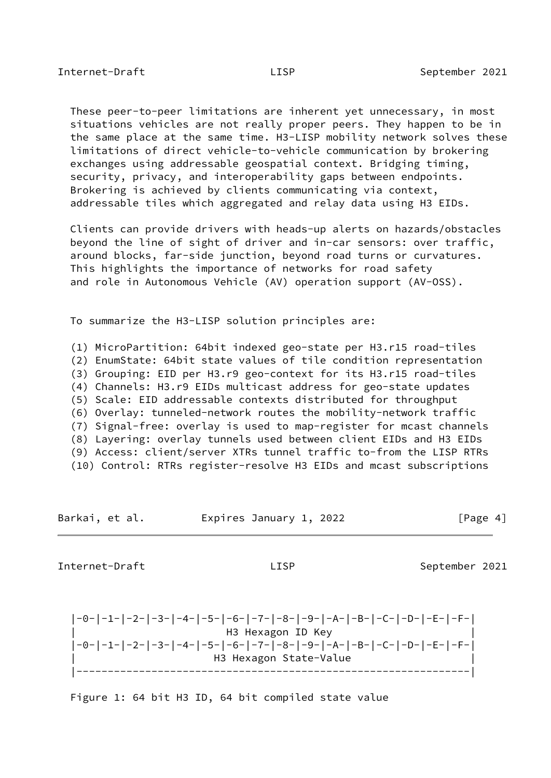<span id="page-3-0"></span> These peer-to-peer limitations are inherent yet unnecessary, in most situations vehicles are not really proper peers. They happen to be in the same place at the same time. H3-LISP mobility network solves these limitations of direct vehicle-to-vehicle communication by brokering exchanges using addressable geospatial context. Bridging timing, security, privacy, and interoperability gaps between endpoints. Brokering is achieved by clients communicating via context, addressable tiles which aggregated and relay data using H3 EIDs.

 Clients can provide drivers with heads-up alerts on hazards/obstacles beyond the line of sight of driver and in-car sensors: over traffic, around blocks, far-side junction, beyond road turns or curvatures. This highlights the importance of networks for road safety and role in Autonomous Vehicle (AV) operation support (AV-OSS).

To summarize the H3-LISP solution principles are:

 (1) MicroPartition: 64bit indexed geo-state per H3.r15 road-tiles (2) EnumState: 64bit state values of tile condition representation (3) Grouping: EID per H3.r9 geo-context for its H3.r15 road-tiles (4) Channels: H3.r9 EIDs multicast address for geo-state updates (5) Scale: EID addressable contexts distributed for throughput (6) Overlay: tunneled-network routes the mobility-network traffic (7) Signal-free: overlay is used to map-register for mcast channels (8) Layering: overlay tunnels used between client EIDs and H3 EIDs (9) Access: client/server XTRs tunnel traffic to-from the LISP RTRs (10) Control: RTRs register-resolve H3 EIDs and mcast subscriptions

Barkai, et al. **Expires January 1, 2022** [Page 4]

<span id="page-3-1"></span>Internet-Draft **Contract LISP** LISP September 2021

 |-0-|-1-|-2-|-3-|-4-|-5-|-6-|-7-|-8-|-9-|-A-|-B-|-C-|-D-|-E-|-F-| | H3 Hexagon ID Key | |-0-|-1-|-2-|-3-|-4-|-5-|-6-|-7-|-8-|-9-|-A-|-B-|-C-|-D-|-E-|-F-| H3 Hexagon State-Value |---------------------------------------------------------------|

Figure 1: 64 bit H3 ID, 64 bit compiled state value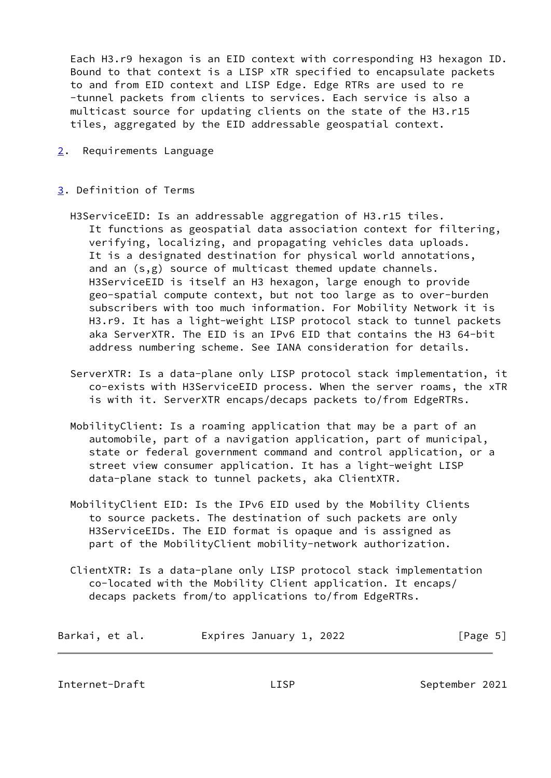Each H3.r9 hexagon is an EID context with corresponding H3 hexagon ID. Bound to that context is a LISP xTR specified to encapsulate packets to and from EID context and LISP Edge. Edge RTRs are used to re -tunnel packets from clients to services. Each service is also a multicast source for updating clients on the state of the H3.r15 tiles, aggregated by the EID addressable geospatial context.

<span id="page-4-0"></span>[2](#page-4-0). Requirements Language

## <span id="page-4-1"></span>[3](#page-4-1). Definition of Terms

- H3ServiceEID: Is an addressable aggregation of H3.r15 tiles. It functions as geospatial data association context for filtering, verifying, localizing, and propagating vehicles data uploads. It is a designated destination for physical world annotations, and an (s,g) source of multicast themed update channels. H3ServiceEID is itself an H3 hexagon, large enough to provide geo-spatial compute context, but not too large as to over-burden subscribers with too much information. For Mobility Network it is H3.r9. It has a light-weight LISP protocol stack to tunnel packets aka ServerXTR. The EID is an IPv6 EID that contains the H3 64-bit address numbering scheme. See IANA consideration for details.
- ServerXTR: Is a data-plane only LISP protocol stack implementation, it co-exists with H3ServiceEID process. When the server roams, the xTR is with it. ServerXTR encaps/decaps packets to/from EdgeRTRs.
- MobilityClient: Is a roaming application that may be a part of an automobile, part of a navigation application, part of municipal, state or federal government command and control application, or a street view consumer application. It has a light-weight LISP data-plane stack to tunnel packets, aka ClientXTR.
- MobilityClient EID: Is the IPv6 EID used by the Mobility Clients to source packets. The destination of such packets are only H3ServiceEIDs. The EID format is opaque and is assigned as part of the MobilityClient mobility-network authorization.
- ClientXTR: Is a data-plane only LISP protocol stack implementation co-located with the Mobility Client application. It encaps/ decaps packets from/to applications to/from EdgeRTRs.

| Barkai, et al. |  | Expires January 1, 2022 |  | [Page 5] |  |
|----------------|--|-------------------------|--|----------|--|
|----------------|--|-------------------------|--|----------|--|

<span id="page-4-2"></span>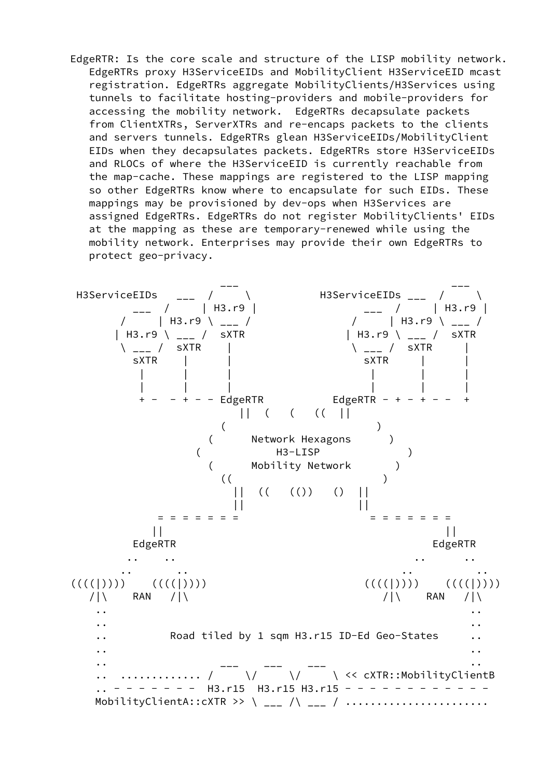EdgeRTR: Is the core scale and structure of the LISP mobility network. EdgeRTRs proxy H3ServiceEIDs and MobilityClient H3ServiceEID mcast registration. EdgeRTRs aggregate MobilityClients/H3Services using tunnels to facilitate hosting-providers and mobile-providers for accessing the mobility network. EdgeRTRs decapsulate packets from ClientXTRs, ServerXTRs and re-encaps packets to the clients and servers tunnels. EdgeRTRs glean H3ServiceEIDs/MobilityClient EIDs when they decapsulates packets. EdgeRTRs store H3ServiceEIDs and RLOCs of where the H3ServiceEID is currently reachable from the map-cache. These mappings are registered to the LISP mapping so other EdgeRTRs know where to encapsulate for such EIDs. These mappings may be provisioned by dev-ops when H3Services are assigned EdgeRTRs. EdgeRTRs do not register MobilityClients' EIDs at the mapping as these are temporary-renewed while using the mobility network. Enterprises may provide their own EdgeRTRs to protect geo-privacy.

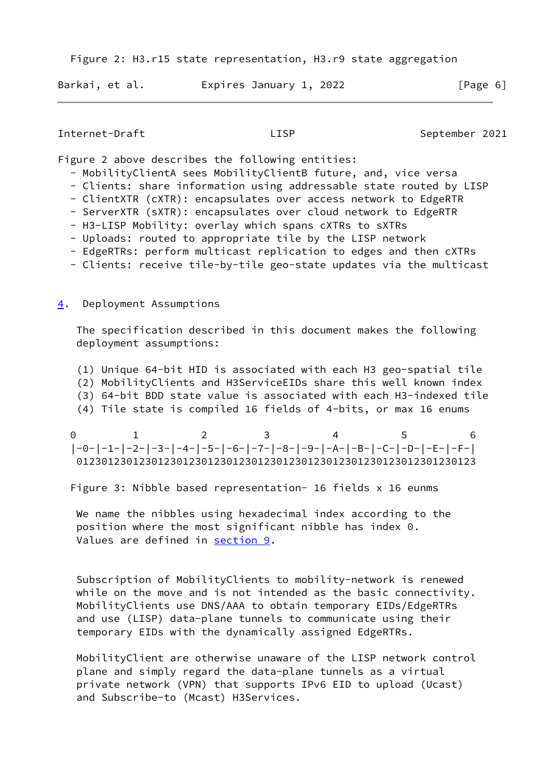Figure 2: H3.r15 state representation, H3.r9 state aggregation

| Barkai, et al. |  | Expires January 1, 2022 |  |  |  | [Page 6] |  |  |
|----------------|--|-------------------------|--|--|--|----------|--|--|
|----------------|--|-------------------------|--|--|--|----------|--|--|

### Internet-Draft **EXALLISP** LISP September 2021

Figure 2 above describes the following entities:

- MobilityClientA sees MobilityClientB future, and, vice versa
- Clients: share information using addressable state routed by LISP
- ClientXTR (cXTR): encapsulates over access network to EdgeRTR
- ServerXTR (sXTR): encapsulates over cloud network to EdgeRTR
- H3-LISP Mobility: overlay which spans cXTRs to sXTRs
- Uploads: routed to appropriate tile by the LISP network
- EdgeRTRs: perform multicast replication to edges and then cXTRs
- Clients: receive tile-by-tile geo-state updates via the multicast

## <span id="page-6-0"></span>[4](#page-6-0). Deployment Assumptions

 The specification described in this document makes the following deployment assumptions:

- (1) Unique 64-bit HID is associated with each H3 geo-spatial tile
- (2) MobilityClients and H3ServiceEIDs share this well known index
- (3) 64-bit BDD state value is associated with each H3-indexed tile
- (4) Tile state is compiled 16 fields of 4-bits, or max 16 enums

 0 1 2 3 4 5 6 |-0-|-1-|-2-|-3-|-4-|-5-|-6-|-7-|-8-|-9-|-A-|-B-|-C-|-D-|-E-|-F-| 0123012301230123012301230123012301230123012301230123012301230123

Figure 3: Nibble based representation- 16 fields x 16 eunms

We name the nibbles using hexadecimal index according to the position where the most significant nibble has index 0. Values are defined in [section 9.](#page-17-1)

 Subscription of MobilityClients to mobility-network is renewed while on the move and is not intended as the basic connectivity. MobilityClients use DNS/AAA to obtain temporary EIDs/EdgeRTRs and use (LISP) data-plane tunnels to communicate using their temporary EIDs with the dynamically assigned EdgeRTRs.

 MobilityClient are otherwise unaware of the LISP network control plane and simply regard the data-plane tunnels as a virtual private network (VPN) that supports IPv6 EID to upload (Ucast) and Subscribe-to (Mcast) H3Services.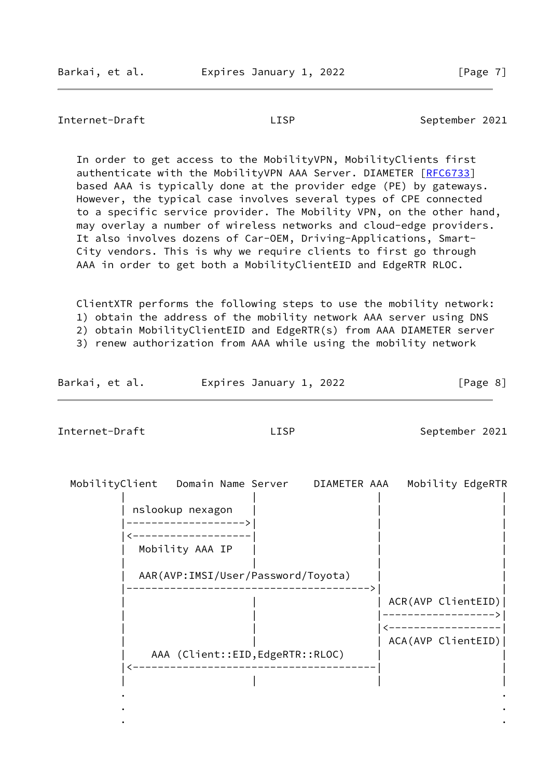<span id="page-7-0"></span> In order to get access to the MobilityVPN, MobilityClients first authenticate with the MobilityVPN AAA Server. DIAMETER [\[RFC6733](https://datatracker.ietf.org/doc/pdf/rfc6733)] based AAA is typically done at the provider edge (PE) by gateways. However, the typical case involves several types of CPE connected to a specific service provider. The Mobility VPN, on the other hand, may overlay a number of wireless networks and cloud-edge providers. It also involves dozens of Car-OEM, Driving-Applications, Smart- City vendors. This is why we require clients to first go through AAA in order to get both a MobilityClientEID and EdgeRTR RLOC.

 ClientXTR performs the following steps to use the mobility network: 1) obtain the address of the mobility network AAA server using DNS 2) obtain MobilityClientEID and EdgeRTR(s) from AAA DIAMETER server

3) renew authorization from AAA while using the mobility network

| Barkai, et al.<br>Expires January 1, 2022 | [Page 8] |
|-------------------------------------------|----------|
|-------------------------------------------|----------|

<span id="page-7-1"></span>Internet-Draft LISP LISP September 2021

| nslookup nexagon<br>Mobility AAA IP<br>AAR(AVP:IMSI/User/Password/Toyota)<br>ACR(AVP ClientEID) |  |
|-------------------------------------------------------------------------------------------------|--|
|                                                                                                 |  |
|                                                                                                 |  |
|                                                                                                 |  |
|                                                                                                 |  |
|                                                                                                 |  |
| ACA(AVP ClientEID)                                                                              |  |
| AAA (Client::EID, EdgeRTR::RLOC)                                                                |  |
|                                                                                                 |  |

. .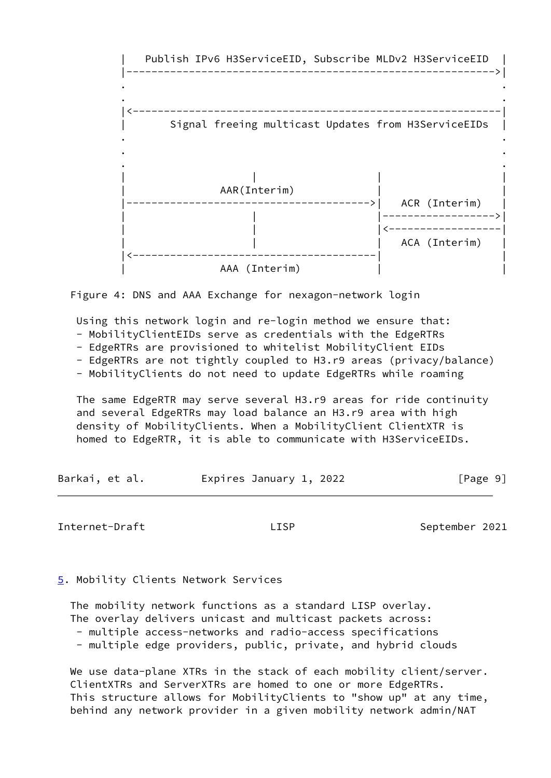



Using this network login and re-login method we ensure that:

- MobilityClientEIDs serve as credentials with the EdgeRTRs

- EdgeRTRs are provisioned to whitelist MobilityClient EIDs

- EdgeRTRs are not tightly coupled to H3.r9 areas (privacy/balance)

- MobilityClients do not need to update EdgeRTRs while roaming

 The same EdgeRTR may serve several H3.r9 areas for ride continuity and several EdgeRTRs may load balance an H3.r9 area with high density of MobilityClients. When a MobilityClient ClientXTR is homed to EdgeRTR, it is able to communicate with H3ServiceEIDs.

| Barkai, et al. | Expires January 1, 2022 | [Page 9] |
|----------------|-------------------------|----------|
|----------------|-------------------------|----------|

Internet-Draft LISP LISP September 2021

<span id="page-8-0"></span>[5](#page-8-0). Mobility Clients Network Services

 The mobility network functions as a standard LISP overlay. The overlay delivers unicast and multicast packets across: - multiple access-networks and radio-access specifications

- multiple edge providers, public, private, and hybrid clouds

 We use data-plane XTRs in the stack of each mobility client/server. ClientXTRs and ServerXTRs are homed to one or more EdgeRTRs. This structure allows for MobilityClients to "show up" at any time, behind any network provider in a given mobility network admin/NAT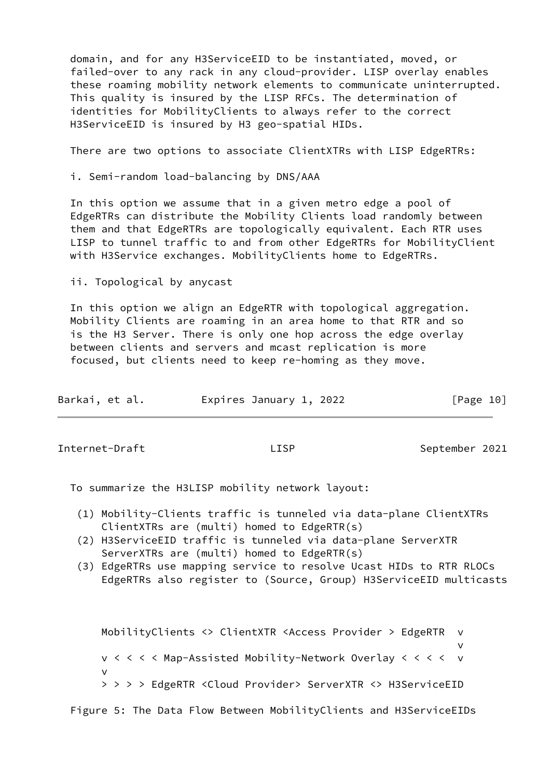domain, and for any H3ServiceEID to be instantiated, moved, or failed-over to any rack in any cloud-provider. LISP overlay enables these roaming mobility network elements to communicate uninterrupted. This quality is insured by the LISP RFCs. The determination of identities for MobilityClients to always refer to the correct H3ServiceEID is insured by H3 geo-spatial HIDs.

There are two options to associate ClientXTRs with LISP EdgeRTRs:

i. Semi-random load-balancing by DNS/AAA

 In this option we assume that in a given metro edge a pool of EdgeRTRs can distribute the Mobility Clients load randomly between them and that EdgeRTRs are topologically equivalent. Each RTR uses LISP to tunnel traffic to and from other EdgeRTRs for MobilityClient with H3Service exchanges. MobilityClients home to EdgeRTRs.

ii. Topological by anycast

 In this option we align an EdgeRTR with topological aggregation. Mobility Clients are roaming in an area home to that RTR and so is the H3 Server. There is only one hop across the edge overlay between clients and servers and mcast replication is more focused, but clients need to keep re-homing as they move.

| Barkai, et al. |  | Expires January 1, 2022 |  |  |  | [Page 10] |  |
|----------------|--|-------------------------|--|--|--|-----------|--|
|----------------|--|-------------------------|--|--|--|-----------|--|

Internet-Draft LISP LISP September 2021

To summarize the H3LISP mobility network layout:

- (1) Mobility-Clients traffic is tunneled via data-plane ClientXTRs ClientXTRs are (multi) homed to EdgeRTR(s)
- (2) H3ServiceEID traffic is tunneled via data-plane ServerXTR ServerXTRs are (multi) homed to EdgeRTR(s)
- (3) EdgeRTRs use mapping service to resolve Ucast HIDs to RTR RLOCs EdgeRTRs also register to (Source, Group) H3ServiceEID multicasts

 MobilityClients <> ClientXTR <Access Provider > EdgeRTR v v v < < < < Map-Assisted Mobility-Network Overlay < < < < v v > > > > EdgeRTR <Cloud Provider> ServerXTR <> H3ServiceEID

Figure 5: The Data Flow Between MobilityClients and H3ServiceEIDs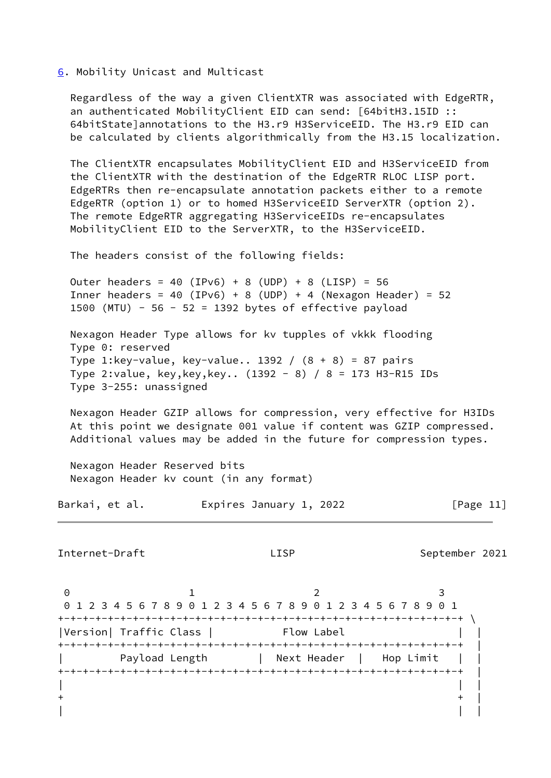<span id="page-10-0"></span>[6](#page-10-0). Mobility Unicast and Multicast

 Regardless of the way a given ClientXTR was associated with EdgeRTR, an authenticated MobilityClient EID can send: [64bitH3.15ID :: 64bitState]annotations to the H3.r9 H3ServiceEID. The H3.r9 EID can be calculated by clients algorithmically from the H3.15 localization.

 The ClientXTR encapsulates MobilityClient EID and H3ServiceEID from the ClientXTR with the destination of the EdgeRTR RLOC LISP port. EdgeRTRs then re-encapsulate annotation packets either to a remote EdgeRTR (option 1) or to homed H3ServiceEID ServerXTR (option 2). The remote EdgeRTR aggregating H3ServiceEIDs re-encapsulates MobilityClient EID to the ServerXTR, to the H3ServiceEID.

The headers consist of the following fields:

Outer headers =  $40$  (IPv6) + 8 (UDP) + 8 (LISP) = 56 Inner headers = 40 (IPv6) + 8 (UDP) + 4 (Nexagon Header) = 52 1500 (MTU) - 56 - 52 = 1392 bytes of effective payload

 Nexagon Header Type allows for kv tupples of vkkk flooding Type 0: reserved Type 1:key-value, key-value.. 1392 / (8 + 8) = 87 pairs Type 2:value, key,key,key.. (1392 - 8) / 8 = 173 H3-R15 IDs Type 3-255: unassigned

 Nexagon Header GZIP allows for compression, very effective for H3IDs At this point we designate 001 value if content was GZIP compressed. Additional values may be added in the future for compression types.

 Nexagon Header Reserved bits Nexagon Header kv count (in any format)

Barkai, et al. **Expires January 1, 2022** [Page 11]

Internet-Draft LISP LISP September 2021

0 1 2 3 0 1 2 3 4 5 6 7 8 9 0 1 2 3 4 5 6 7 8 9 0 1 2 3 4 5 6 7 8 9 0 1 +-+-+-+-+-+-+-+-+-+-+-+-+-+-+-+-+-+-+-+-+-+-+-+-+-+-+-+-+-+-+-+-+ \ |Version| Traffic Class | Flow Label +-+-+-+-+-+-+-+-+-+-+-+-+-+-+-+-+-+-+-+-+-+-+-+-+-+-+-+-+-+-+-+-+ | Payload Length | Next Header | Hop Limit | +-+-+-+-+-+-+-+-+-+-+-+-+-+-+-+-+-+-+-+-+-+-+-+-+-+-+-+-+-+-+-+-+ | | | |  $+$  +  $\qquad$  +  $\qquad$  +  $\qquad$  +  $\qquad$  +  $\qquad$  +  $\qquad$  +  $\qquad$  +  $\qquad$  +  $\qquad$  +  $\qquad$  +  $\qquad$  +  $\qquad$  +  $\qquad$  +  $\qquad$  +  $\qquad$  +  $\qquad$  +  $\qquad$  +  $\qquad$  +  $\qquad$  +  $\qquad$  +  $\qquad$  +  $\qquad$  +  $\qquad$  +  $\qquad$  +  $\qquad$  +  $\qquad$  +  $\qquad$  + | | |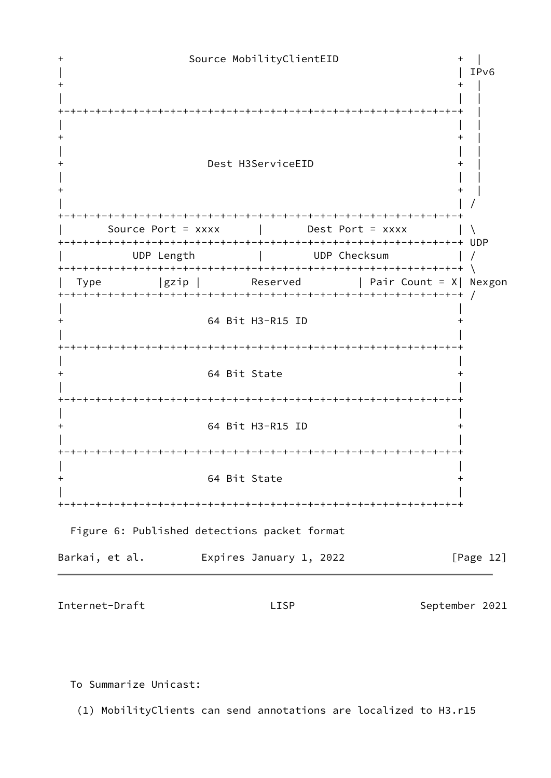

To Summarize Unicast:

(1) MobilityClients can send annotations are localized to H3.r15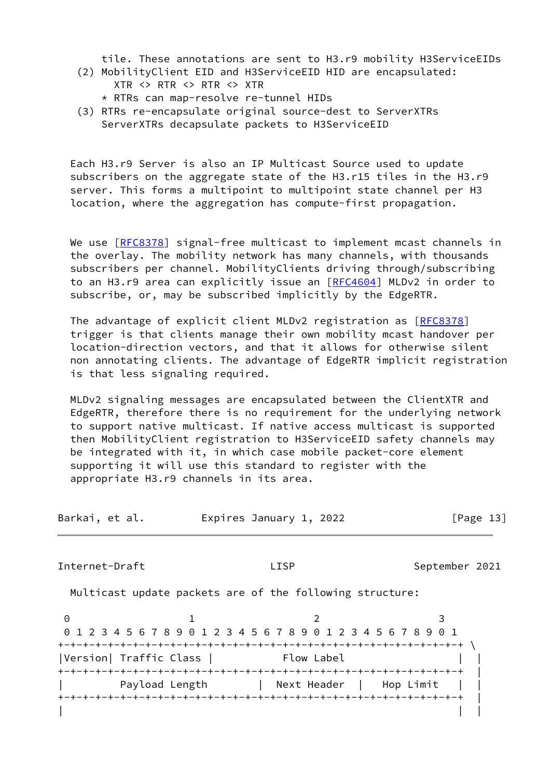tile. These annotations are sent to H3.r9 mobility H3ServiceEIDs

- (2) MobilityClient EID and H3ServiceEID HID are encapsulated: XTR <> RTR <> RTR <> XTR
	- \* RTRs can map-resolve re-tunnel HIDs
- (3) RTRs re-encapsulate original source-dest to ServerXTRs ServerXTRs decapsulate packets to H3ServiceEID

 Each H3.r9 Server is also an IP Multicast Source used to update subscribers on the aggregate state of the H3.r15 tiles in the H3.r9 server. This forms a multipoint to multipoint state channel per H3 location, where the aggregation has compute-first propagation.

We use [[RFC8378](https://datatracker.ietf.org/doc/pdf/rfc8378)] signal-free multicast to implement mcast channels in the overlay. The mobility network has many channels, with thousands subscribers per channel. MobilityClients driving through/subscribing to an H3.r9 area can explicitly issue an [\[RFC4604](https://datatracker.ietf.org/doc/pdf/rfc4604)] MLDv2 in order to subscribe, or, may be subscribed implicitly by the EdgeRTR.

The advantage of explicit client MLDv2 registration as [[RFC8378](https://datatracker.ietf.org/doc/pdf/rfc8378)] trigger is that clients manage their own mobility mcast handover per location-direction vectors, and that it allows for otherwise silent non annotating clients. The advantage of EdgeRTR implicit registration is that less signaling required.

 MLDv2 signaling messages are encapsulated between the ClientXTR and EdgeRTR, therefore there is no requirement for the underlying network to support native multicast. If native access multicast is supported then MobilityClient registration to H3ServiceEID safety channels may be integrated with it, in which case mobile packet-core element supporting it will use this standard to register with the appropriate H3.r9 channels in its area.

| Barkai, et al. | Expires January 1, 2022 | [Page 13] |
|----------------|-------------------------|-----------|
|----------------|-------------------------|-----------|

Internet-Draft **LISP** LISP September 2021

Multicast update packets are of the following structure:

0 1 2 3 0 1 2 3 4 5 6 7 8 9 0 1 2 3 4 5 6 7 8 9 0 1 2 3 4 5 6 7 8 9 0 1 +-+-+-+-+-+-+-+-+-+-+-+-+-+-+-+-+-+-+-+-+-+-+-+-+-+-+-+-+-+-+-+-+ \ |Version| Traffic Class | Flow Label +-+-+-+-+-+-+-+-+-+-+-+-+-+-+-+-+-+-+-+-+-+-+-+-+-+-+-+-+-+-+-+-+ | Payload Length | Next Header | Hop Limit | +-+-+-+-+-+-+-+-+-+-+-+-+-+-+-+-+-+-+-+-+-+-+-+-+-+-+-+-+-+-+-+-+ | | | |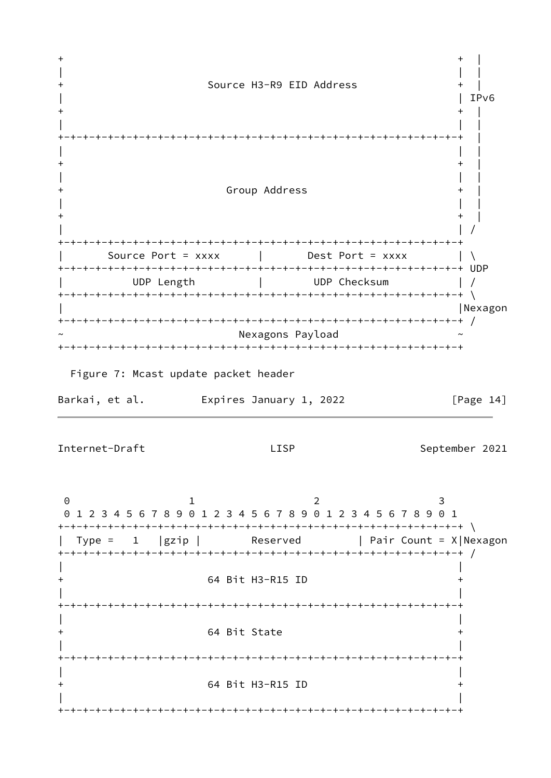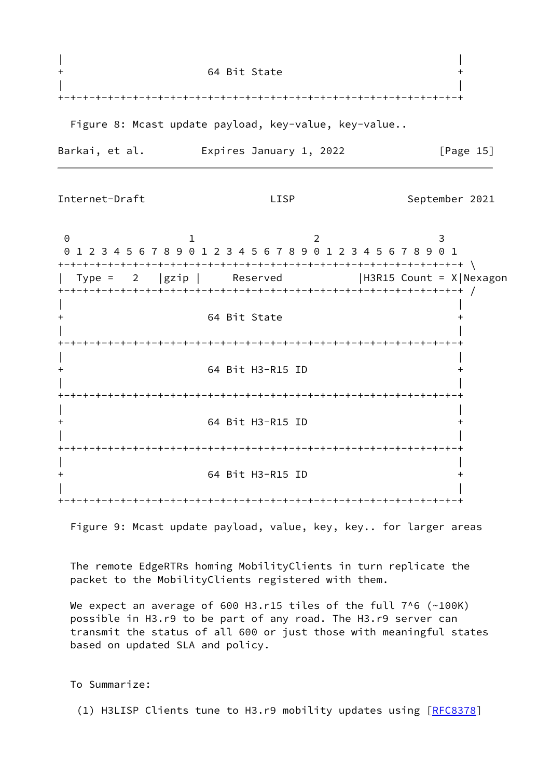|                | 64 Bit State                                         |           |  |
|----------------|------------------------------------------------------|-----------|--|
|                |                                                      |           |  |
|                | Figure 8: Mcast update payload, key-value, key-value |           |  |
| Barkai, et al. | Expires January 1, 2022                              | [Page 15] |  |

$$
{\sf LISP}
$$

0 1 2 3 0 1 2 3 4 5 6 7 8 9 0 1 2 3 4 5 6 7 8 9 0 1 2 3 4 5 6 7 8 9 0 1 +-+-+-+-+-+-+-+-+-+-+-+-+-+-+-+-+-+-+-+-+-+-+-+-+-+-+-+-+-+-+-+-+ \ | Type = 2 |gzip | Reserved |H3R15 Count = X|Nexagon +-+-+-+-+-+-+-+-+-+-+-+-+-+-+-+-+-+-+-+-+-+-+-+-+-+-+-+-+-+-+-+-+ / | | + 64 Bit State + | | +-+-+-+-+-+-+-+-+-+-+-+-+-+-+-+-+-+-+-+-+-+-+-+-+-+-+-+-+-+-+-+-+ | | + 64 Bit H3-R15 ID + | | +-+-+-+-+-+-+-+-+-+-+-+-+-+-+-+-+-+-+-+-+-+-+-+-+-+-+-+-+-+-+-+-+ | | + 64 Bit H3-R15 ID + | | +-+-+-+-+-+-+-+-+-+-+-+-+-+-+-+-+-+-+-+-+-+-+-+-+-+-+-+-+-+-+-+-+ | | + 64 Bit H3-R15 ID + | | +-+-+-+-+-+-+-+-+-+-+-+-+-+-+-+-+-+-+-+-+-+-+-+-+-+-+-+-+-+-+-+-+

Figure 9: Mcast update payload, value, key, key.. for larger areas

 The remote EdgeRTRs homing MobilityClients in turn replicate the packet to the MobilityClients registered with them.

We expect an average of 600 H3.r15 tiles of the full 7^6 (~100K) possible in H3.r9 to be part of any road. The H3.r9 server can transmit the status of all 600 or just those with meaningful states based on updated SLA and policy.

To Summarize:

(1) H3LISP Clients tune to H3.r9 mobility updates using [\[RFC8378](https://datatracker.ietf.org/doc/pdf/rfc8378)]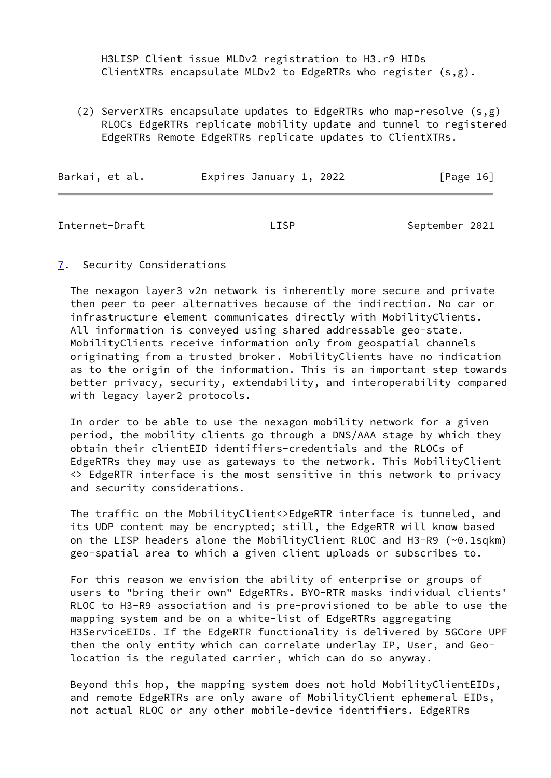H3LISP Client issue MLDv2 registration to H3.r9 HIDs ClientXTRs encapsulate MLDv2 to EdgeRTRs who register (s,g).

 (2) ServerXTRs encapsulate updates to EdgeRTRs who map-resolve (s,g) RLOCs EdgeRTRs replicate mobility update and tunnel to registered EdgeRTRs Remote EdgeRTRs replicate updates to ClientXTRs.

| Barkai, et al. | Expires January 1, 2022 | [Page 16] |
|----------------|-------------------------|-----------|
|                |                         |           |

Internet-Draft **East Communist LISP** September 2021

# <span id="page-15-0"></span>[7](#page-15-0). Security Considerations

 The nexagon layer3 v2n network is inherently more secure and private then peer to peer alternatives because of the indirection. No car or infrastructure element communicates directly with MobilityClients. All information is conveyed using shared addressable geo-state. MobilityClients receive information only from geospatial channels originating from a trusted broker. MobilityClients have no indication as to the origin of the information. This is an important step towards better privacy, security, extendability, and interoperability compared with legacy layer2 protocols.

 In order to be able to use the nexagon mobility network for a given period, the mobility clients go through a DNS/AAA stage by which they obtain their clientEID identifiers-credentials and the RLOCs of EdgeRTRs they may use as gateways to the network. This MobilityClient <> EdgeRTR interface is the most sensitive in this network to privacy and security considerations.

 The traffic on the MobilityClient<>EdgeRTR interface is tunneled, and its UDP content may be encrypted; still, the EdgeRTR will know based on the LISP headers alone the MobilityClient RLOC and H3-R9 (~0.1sqkm) geo-spatial area to which a given client uploads or subscribes to.

 For this reason we envision the ability of enterprise or groups of users to "bring their own" EdgeRTRs. BYO-RTR masks individual clients' RLOC to H3-R9 association and is pre-provisioned to be able to use the mapping system and be on a white-list of EdgeRTRs aggregating H3ServiceEIDs. If the EdgeRTR functionality is delivered by 5GCore UPF then the only entity which can correlate underlay IP, User, and Geo location is the regulated carrier, which can do so anyway.

 Beyond this hop, the mapping system does not hold MobilityClientEIDs, and remote EdgeRTRs are only aware of MobilityClient ephemeral EIDs, not actual RLOC or any other mobile-device identifiers. EdgeRTRs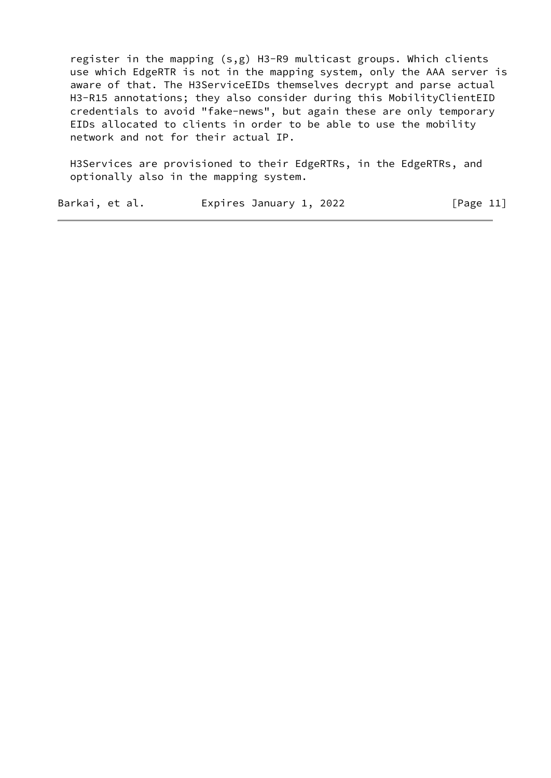register in the mapping (s,g) H3-R9 multicast groups. Which clients use which EdgeRTR is not in the mapping system, only the AAA server is aware of that. The H3ServiceEIDs themselves decrypt and parse actual H3-R15 annotations; they also consider during this MobilityClientEID credentials to avoid "fake-news", but again these are only temporary EIDs allocated to clients in order to be able to use the mobility network and not for their actual IP.

 H3Services are provisioned to their EdgeRTRs, in the EdgeRTRs, and optionally also in the mapping system.

| Barkai, et al. | Expires January 1, 2022 | [Page 11] |
|----------------|-------------------------|-----------|
|----------------|-------------------------|-----------|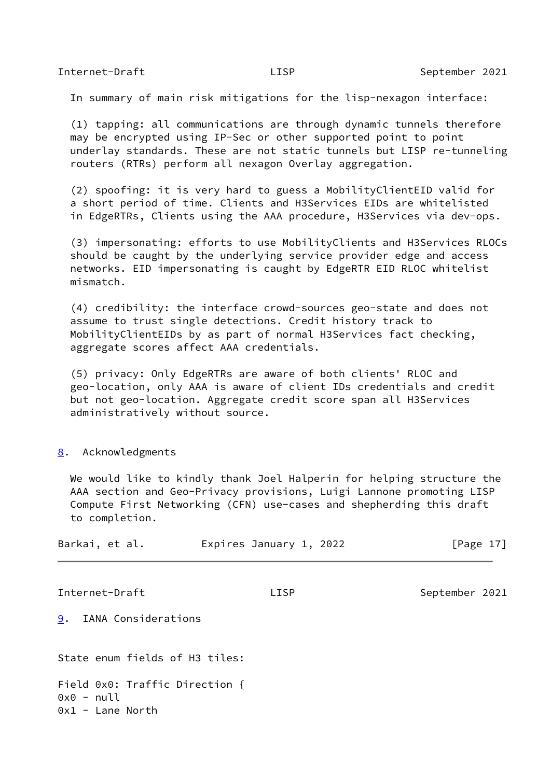In summary of main risk mitigations for the lisp-nexagon interface:

 (1) tapping: all communications are through dynamic tunnels therefore may be encrypted using IP-Sec or other supported point to point underlay standards. These are not static tunnels but LISP re-tunneling routers (RTRs) perform all nexagon Overlay aggregation.

 (2) spoofing: it is very hard to guess a MobilityClientEID valid for a short period of time. Clients and H3Services EIDs are whitelisted in EdgeRTRs, Clients using the AAA procedure, H3Services via dev-ops.

 (3) impersonating: efforts to use MobilityClients and H3Services RLOCs should be caught by the underlying service provider edge and access networks. EID impersonating is caught by EdgeRTR EID RLOC whitelist mismatch.

 (4) credibility: the interface crowd-sources geo-state and does not assume to trust single detections. Credit history track to MobilityClientEIDs by as part of normal H3Services fact checking, aggregate scores affect AAA credentials.

 (5) privacy: Only EdgeRTRs are aware of both clients' RLOC and geo-location, only AAA is aware of client IDs credentials and credit but not geo-location. Aggregate credit score span all H3Services administratively without source.

### <span id="page-17-0"></span>[8](#page-17-0). Acknowledgments

 We would like to kindly thank Joel Halperin for helping structure the AAA section and Geo-Privacy provisions, Luigi Lannone promoting LISP Compute First Networking (CFN) use-cases and shepherding this draft to completion.

<span id="page-17-1"></span>

| Barkai, et al.                                                       | Expires January 1, 2022 | $\lceil \text{Page } 17 \rceil$ |
|----------------------------------------------------------------------|-------------------------|---------------------------------|
| Internet-Draft                                                       | <b>LISP</b>             | September 2021                  |
| 9.<br>IANA Considerations                                            |                         |                                 |
| State enum fields of H3 tiles:                                       |                         |                                 |
| Field 0x0: Traffic Direction {<br>$0x0 - null$<br>$0x1 -$ Lane North |                         |                                 |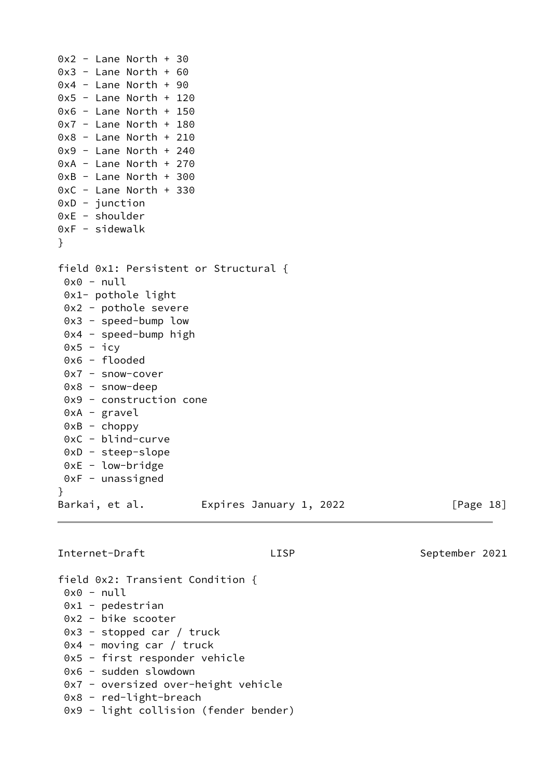$0x2 -$  Lane North + 30  $0x3 -$  Lane North + 60  $0x4 -$  Lane North + 90  $0x5$  - Lane North + 120  $0x6$  - Lane North + 150  $0x7 -$  Lane North + 180  $0x8 -$  Lane North + 210  $0x9$  - Lane North + 240  $0xA$  - Lane North + 270  $0xB - Lane North + 300$ 0xC - Lane North + 330 0xD - junction 0xE - shoulder 0xF - sidewalk } field 0x1: Persistent or Structural {  $0x0 - null$  0x1- pothole light 0x2 - pothole severe 0x3 - speed-bump low 0x4 - speed-bump high  $0x5 - icv$  0x6 - flooded 0x7 - snow-cover 0x8 - snow-deep 0x9 - construction cone 0xA - gravel  $0xB - choppy$  0xC - blind-curve 0xD - steep-slope 0xE - low-bridge 0xF - unassigned } Barkai, et al. Expires January 1, 2022 [Page 18]

Internet-Draft LISP LISP September 2021

field 0x2: Transient Condition {  $0x0 - null$  0x1 - pedestrian 0x2 - bike scooter 0x3 - stopped car / truck 0x4 - moving car / truck 0x5 - first responder vehicle 0x6 - sudden slowdown 0x7 - oversized over-height vehicle 0x8 - red-light-breach 0x9 - light collision (fender bender)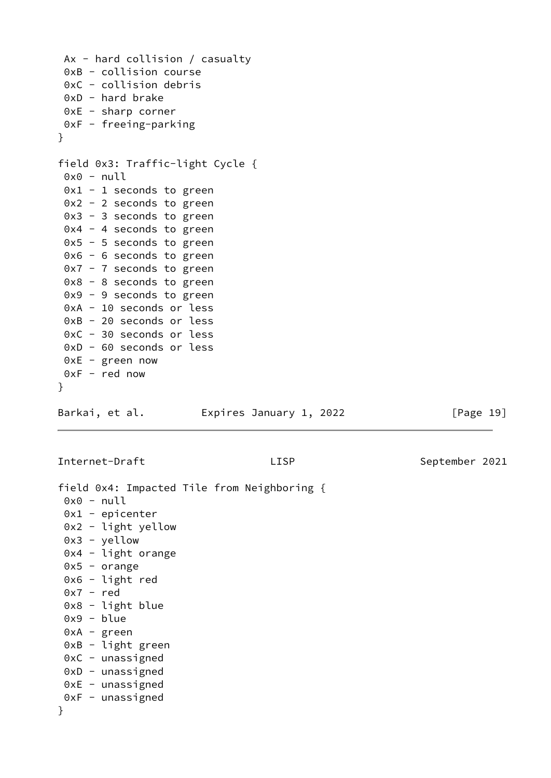```
 Ax - hard collision / casualty
 0xB - collision course
 0xC - collision debris
 0xD - hard brake
 0xE - sharp corner
 0xF - freeing-parking
}
field 0x3: Traffic-light Cycle {
0x0 - null0x1 - 1 seconds to green
 0x2 - 2 seconds to green
 0x3 - 3 seconds to green
 0x4 - 4 seconds to green
0x5 - 5 seconds to green
 0x6 - 6 seconds to green
 0x7 - 7 seconds to green
 0x8 - 8 seconds to green
 0x9 - 9 seconds to green
 0xA - 10 seconds or less
 0xB - 20 seconds or less
 0xC - 30 seconds or less
 0xD - 60 seconds or less
 0xE - green now
 0xF - red now
}
Barkai, et al. 
Expires January 1, 2022 [Page 19]
Internet-Draft LISP September 2021
field 0x4: Impacted Tile from Neighboring {
0x0 - null0x1 - epicenter 0x2 - light yellow
 0x3 - yellow
 0x4 - light orange
 0x5 - orange
 0x6 - light red
 0x7 - red
 0x8 - light blue
 0x9 - blue
 0xA - green
 0xB - light green
 0xC - unassigned
 0xD - unassigned
 0xE - unassigned
0xF - unassigned}
```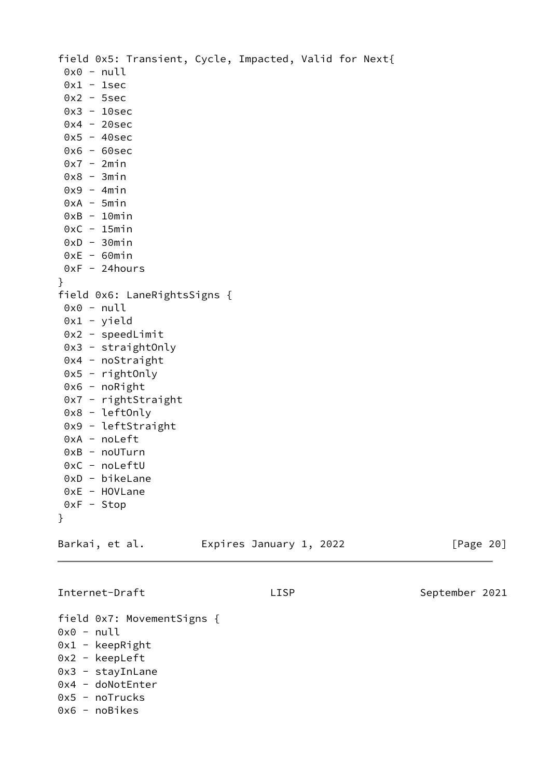field 0x5: Transient, Cycle, Impacted, Valid for Next{ 0x0 - null  $0x1 - 1sec$  0x2 - 5sec 0x3 - 10sec 0x4 - 20sec  $0x5 - 40sec$  0x6 - 60sec  $0x7 - 2min$  $0x8 - 3min$  $0x9 - 4min$  $0xA - 5min$  $0xB - 10min$  $0xC - 15min$  $0xD - 30min$  $0xE - 60min$  $0xF - 24 hours$ } field 0x6: LaneRightsSigns {  $0x0 - null$  0x1 - yield 0x2 - speedLimit 0x3 - straightOnly 0x4 - noStraight 0x5 - rightOnly 0x6 - noRight 0x7 - rightStraight 0x8 - leftOnly 0x9 - leftStraight 0xA - noLeft 0xB - noUTurn 0xC - noLeftU 0xD - bikeLane 0xE - HOVLane 0xF - Stop } Barkai, et al. **Expires January 1, 2022** [Page 20] Internet-Draft LISP LISP September 2021 field 0x7: MovementSigns {  $0x0 - null$  $0x1 - kee$ pRight

- 0x2 keepLeft
- 0x3 stayInLane
- 0x4 doNotEnter
- 0x5 noTrucks
- 0x6 noBikes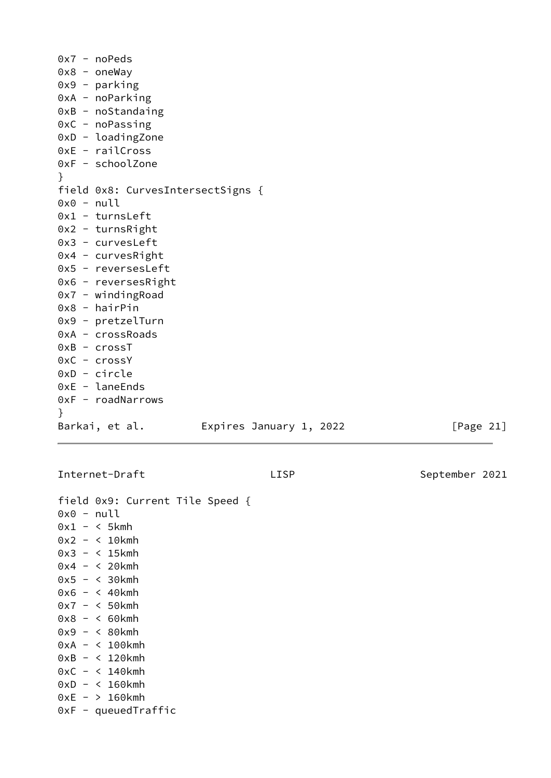|              | $0x7 - noPeds$                    |                         |  |              |
|--------------|-----------------------------------|-------------------------|--|--------------|
|              | $0x8 -$ oneWay                    |                         |  |              |
|              | $0x9 - parking$                   |                         |  |              |
|              | $0xA$ - noParking                 |                         |  |              |
|              | $0xB - noStandaring$              |                         |  |              |
|              | $0xC - noPassing$                 |                         |  |              |
|              | $0xD -$ loadingZone               |                         |  |              |
|              | $0xE - railCross$                 |                         |  |              |
|              | 0xF - schoolZone                  |                         |  |              |
| $\}$         |                                   |                         |  |              |
|              | field 0x8: CurvesIntersectSigns { |                         |  |              |
| $0x0 - null$ |                                   |                         |  |              |
|              | $0x1 - turnsLeft$                 |                         |  |              |
|              | $0x2 - turnsRight$                |                         |  |              |
|              | $0x3 - curvesLeft$                |                         |  |              |
|              | $0x4 - curvesRight$               |                         |  |              |
|              | 0x5 - reversesLeft                |                         |  |              |
|              | $0x6$ - reverses Right            |                         |  |              |
|              | $0x7 - winding$ Road              |                         |  |              |
|              | $0x8 - hairPin$                   |                         |  |              |
|              | 0x9 - pretzelTurn                 |                         |  |              |
|              | 0xA - crossRoads                  |                         |  |              |
|              | $0xB - crossT$                    |                         |  |              |
|              | $0xC - crossY$                    |                         |  |              |
|              | $0xD - circle$                    |                         |  |              |
|              | $0xE -$ laneEnds                  |                         |  |              |
|              | $0xF - roadNarrows$               |                         |  |              |
| }            |                                   |                         |  |              |
|              | Barkai, et al.                    | Expires January 1, 2022 |  | [Page $21$ ] |

field 0x9: Current Tile Speed { 0x0 - null  $0x1 - 5kmh$ 0x2 - < 10kmh 0x3 - < 15kmh 0x4 - < 20kmh 0x5 - < 30kmh 0x6 - < 40kmh 0x7 - < 50kmh 0x8 - < 60kmh 0x9 - < 80kmh 0xA - < 100kmh 0xB - < 120kmh 0xC - < 140kmh 0xD - < 160kmh 0xE - > 160kmh 0xF - queuedTraffic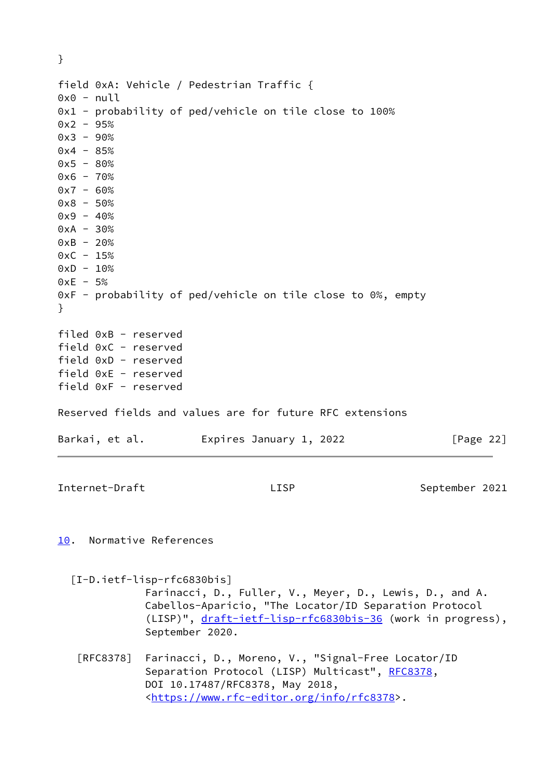<span id="page-22-1"></span><span id="page-22-0"></span>} field 0xA: Vehicle / Pedestrian Traffic {  $0x0 - null$ 0x1 - probability of ped/vehicle on tile close to 100%  $0x2 - 95%$  $0x3 - 90%$  $0x4 - 85%$  $0x5 - 80%$  $0x6 - 70%$  $0x7 - 60%$  $0x8 - 50%$  $0x9 - 40%$  $0xA - 30%$  $0xB - 20%$  $0xC - 15%$  $0xD - 10%$  $0xE - 5%$ 0xF - probability of ped/vehicle on tile close to 0%, empty } filed 0xB - reserved field 0xC - reserved field 0xD - reserved field 0xE - reserved field 0xF - reserved Reserved fields and values are for future RFC extensions Barkai, et al. **Expires January 1, 2022** [Page 22] Internet-Draft LISP LISP September 2021 [10.](#page-22-0) Normative References [I-D.ietf-lisp-rfc6830bis] Farinacci, D., Fuller, V., Meyer, D., Lewis, D., and A. Cabellos-Aparicio, "The Locator/ID Separation Protocol (LISP)", [draft-ietf-lisp-rfc6830bis-36](https://datatracker.ietf.org/doc/pdf/draft-ietf-lisp-rfc6830bis-36) (work in progress), September 2020. [RFC8378] Farinacci, D., Moreno, V., "Signal-Free Locator/ID Separation Protocol (LISP) Multicast", [RFC8378](https://datatracker.ietf.org/doc/pdf/rfc8378), DOI 10.17487/RFC8378, May 2018, <[https://www.rfc-editor.org/info/rfc8378>](https://www.rfc-editor.org/info/rfc8378).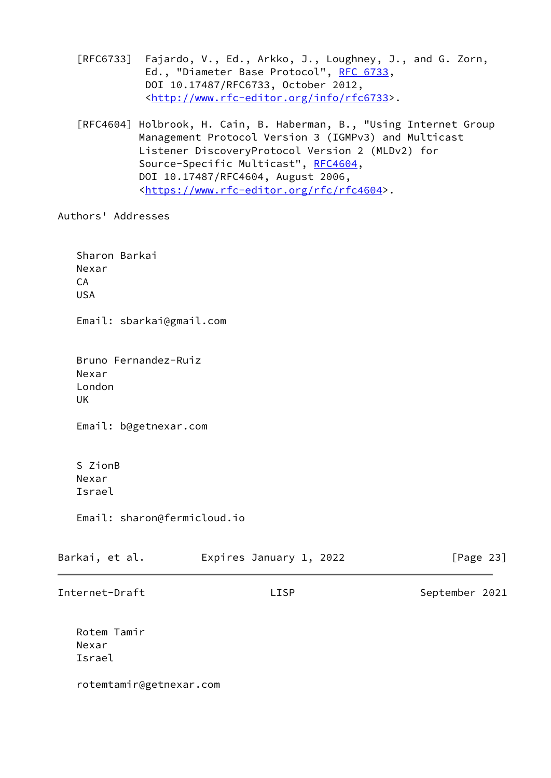[RFC6733] Fajardo, V., Ed., Arkko, J., Loughney, J., and G. Zorn, Ed., "Diameter Base Protocol", [RFC 6733](https://datatracker.ietf.org/doc/pdf/rfc6733), DOI 10.17487/RFC6733, October 2012, <<http://www.rfc-editor.org/info/rfc6733>>.

 [RFC4604] Holbrook, H. Cain, B. Haberman, B., "Using Internet Group Management Protocol Version 3 (IGMPv3) and Multicast Listener DiscoveryProtocol Version 2 (MLDv2) for Source-Specific Multicast", [RFC4604](https://datatracker.ietf.org/doc/pdf/rfc4604), DOI 10.17487/RFC4604, August 2006, <<https://www.rfc-editor.org/rfc/rfc4604>>.

Authors' Addresses

 Sharon Barkai Nexar CA USA Email: sbarkai@gmail.com Bruno Fernandez-Ruiz Nexar London UK Email: b@getnexar.com S ZionB Nexar Israel Email: sharon@fermicloud.io Barkai, et al. **Expires January 1, 2022** [Page 23] Internet-Draft LISP LISP September 2021 Rotem Tamir Nexar Israel rotemtamir@getnexar.com